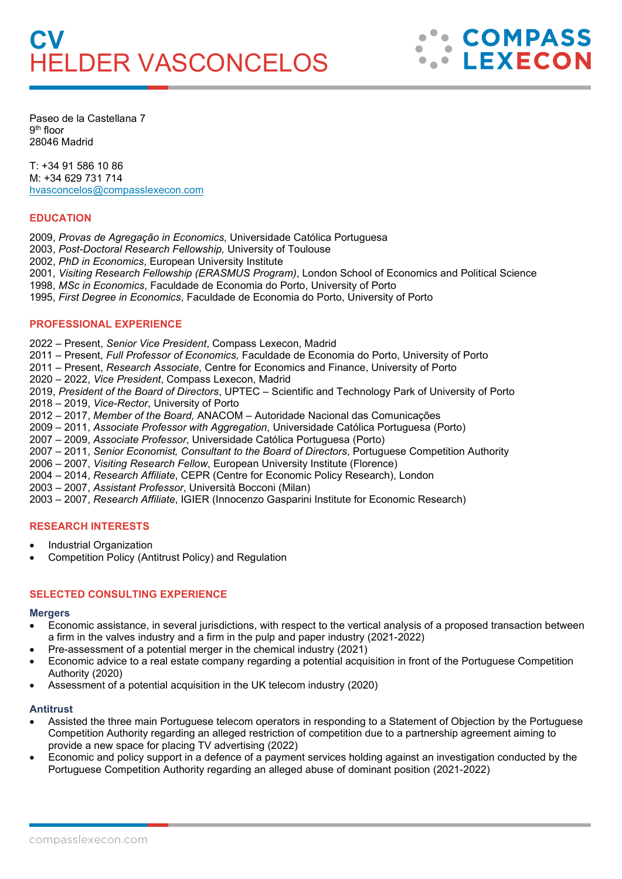

Paseo de la Castellana 7 9th floor 28046 Madrid

T: +34 91 586 10 86 M: +34 629 731 714 [hvasconcelos@compasslexecon.com](mailto:hvasconcelos@compasslexecon.com) 

### **EDUCATION**

2009, *Provas de Agregação in Economics,* Universidade Católica Portuguesa

2003, *Post-Doctoral Research Fellowship,* University of Toulouse

2002, *PhD in Economics*, European University Institute

- 2001, *Visiting Research Fellowship (ERASMUS Program)*, London School of Economics and Political Science
- 1998, *MSc in Economics*, Faculdade de Economia do Porto, University of Porto

1995, *First Degree in Economics*, Faculdade de Economia do Porto, University of Porto

### **PROFESSIONAL EXPERIENCE**

2022 – Present, *Senior Vice President*, Compass Lexecon, Madrid

2011 – Present, *Full Professor of Economics,* Faculdade de Economia do Porto, University of Porto

- 2011 Present, *Research Associate*, Centre for Economics and Finance, University of Porto
- 2020 2022, *Vice President*, Compass Lexecon, Madrid

2019, *President of the Board of Directors*, UPTEC – Scientific and Technology Park of University of Porto

2018 – 2019, *Vice-Rector*, University of Porto

2012 – 2017, *Member of the Board,* ANACOM – Autoridade Nacional das Comunicações

2009 – 2011, *Associate Professor with Aggregation*, Universidade Católica Portuguesa (Porto)

2007 – 2009, *Associate Professor*, Universidade Católica Portuguesa (Porto)

2007 – 2011, *Senior Economist, Consultant to the Board of Directors*, Portuguese Competition Authority

- 2006 2007, *Visiting Research Fellow*, European University Institute (Florence)
- 2004 2014, *Research Affiliate*, CEPR (Centre for Economic Policy Research), London

2003 – 2007, *Assistant Professor*, Università Bocconi (Milan)

2003 – 2007, *Research Affiliate*, IGIER (Innocenzo Gasparini Institute for Economic Research)

### **RESEARCH INTERESTS**

- Industrial Organization
- Competition Policy (Antitrust Policy) and Regulation

### **SELECTED CONSULTING EXPERIENCE**

#### **Mergers**

- Economic assistance, in several jurisdictions, with respect to the vertical analysis of a proposed transaction between a firm in the valves industry and a firm in the pulp and paper industry (2021-2022)
- Pre-assessment of a potential merger in the chemical industry (2021)
- Economic advice to a real estate company regarding a potential acquisition in front of the Portuguese Competition Authority (2020)
- Assessment of a potential acquisition in the UK telecom industry (2020)

#### **Antitrust**

- Assisted the three main Portuguese telecom operators in responding to a Statement of Objection by the Portuguese Competition Authority regarding an alleged restriction of competition due to a partnership agreement aiming to provide a new space for placing TV advertising (2022)
- Economic and policy support in a defence of a payment services holding against an investigation conducted by the Portuguese Competition Authority regarding an alleged abuse of dominant position (2021-2022)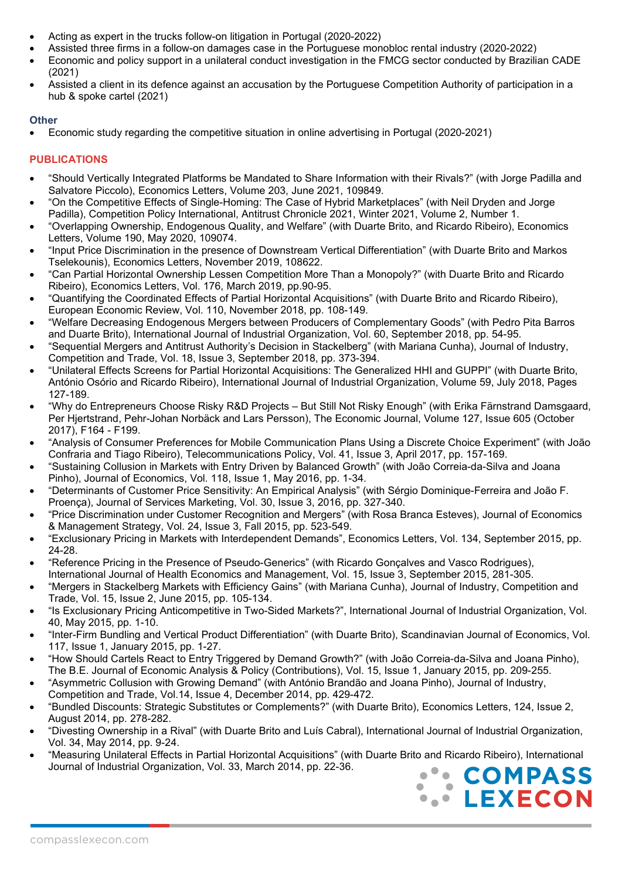- Acting as expert in the trucks follow-on litigation in Portugal (2020-2022)
- Assisted three firms in a follow-on damages case in the Portuguese monobloc rental industry (2020-2022)
- Economic and policy support in a unilateral conduct investigation in the FMCG sector conducted by Brazilian CADE (2021)
- Assisted a client in its defence against an accusation by the Portuguese Competition Authority of participation in a hub & spoke cartel (2021)

### **Other**

• Economic study regarding the competitive situation in online advertising in Portugal (2020-2021)

# **PUBLICATIONS**

- "Should Vertically Integrated Platforms be Mandated to Share Information with their Rivals?" (with Jorge Padilla and Salvatore Piccolo), Economics Letters, Volume 203, June 2021, 109849.
- "On the Competitive Effects of Single-Homing: The Case of Hybrid Marketplaces" (with Neil Dryden and Jorge Padilla), Competition Policy International, Antitrust Chronicle 2021, Winter 2021, Volume 2, Number 1.
- "Overlapping Ownership, Endogenous Quality, and Welfare" (with Duarte Brito, and Ricardo Ribeiro), Economics Letters, Volume 190, May 2020, 109074.
- "Input Price Discrimination in the presence of Downstream Vertical Differentiation" (with Duarte Brito and Markos Tselekounis), Economics Letters, November 2019, 108622.
- "Can Partial Horizontal Ownership Lessen Competition More Than a Monopoly?" (with Duarte Brito and Ricardo Ribeiro), Economics Letters, Vol. 176, March 2019, pp.90-95.
- "Quantifying the Coordinated Effects of Partial Horizontal Acquisitions" (with Duarte Brito and Ricardo Ribeiro), European Economic Review, Vol. 110, November 2018, pp. 108-149.
- "Welfare Decreasing Endogenous Mergers between Producers of Complementary Goods" (with Pedro Pita Barros and Duarte Brito), International Journal of Industrial Organization, Vol. 60, September 2018, pp. 54-95.
- "Sequential Mergers and Antitrust Authority's Decision in Stackelberg" (with Mariana Cunha), Journal of Industry, Competition and Trade, Vol. 18, Issue 3, September 2018, pp. 373-394.
- "Unilateral Effects Screens for Partial Horizontal Acquisitions: The Generalized HHI and GUPPI" (with Duarte Brito, António Osório and Ricardo Ribeiro), International Journal of Industrial Organization, Volume 59, July 2018, Pages 127-189.
- "Why do Entrepreneurs Choose Risky R&D Projects But Still Not Risky Enough" (with Erika Färnstrand Damsgaard, Per Hjertstrand, Pehr-Johan Norbäck and Lars Persson), The Economic Journal, Volume 127, Issue 605 (October 2017), F164 - F199.
- "Analysis of Consumer Preferences for Mobile Communication Plans Using a Discrete Choice Experiment" (with João Confraria and Tiago Ribeiro), Telecommunications Policy, Vol. 41, Issue 3, April 2017, pp. 157-169.
- "Sustaining Collusion in Markets with Entry Driven by Balanced Growth" (with João Correia-da-Silva and Joana Pinho), Journal of Economics, Vol. 118, Issue 1, May 2016, pp. 1-34.
- "Determinants of Customer Price Sensitivity: An Empirical Analysis" (with Sérgio Dominique-Ferreira and João F. Proença), Journal of Services Marketing, Vol. 30, Issue 3, 2016, pp. 327-340.
- "Price Discrimination under Customer Recognition and Mergers" (with Rosa Branca Esteves), Journal of Economics & Management Strategy, Vol. 24, Issue 3, Fall 2015, pp. 523-549.
- "Exclusionary Pricing in Markets with Interdependent Demands", Economics Letters, Vol. 134, September 2015, pp. 24-28.
- "Reference Pricing in the Presence of Pseudo-Generics" (with Ricardo Gonçalves and Vasco Rodrigues), International Journal of Health Economics and Management, Vol. 15, Issue 3, September 2015, 281-305.
- "Mergers in Stackelberg Markets with Efficiency Gains" (with Mariana Cunha), Journal of Industry, Competition and Trade, Vol. 15, Issue 2, June 2015, pp. 105-134.
- "Is Exclusionary Pricing Anticompetitive in Two-Sided Markets?", International Journal of Industrial Organization, Vol. 40, May 2015, pp. 1-10.
- "Inter-Firm Bundling and Vertical Product Differentiation" (with Duarte Brito), Scandinavian Journal of Economics, Vol. 117, Issue 1, January 2015, pp. 1-27.
- "How Should Cartels React to Entry Triggered by Demand Growth?" (with João Correia-da-Silva and Joana Pinho), The B.E. Journal of Economic Analysis & Policy (Contributions), Vol. 15, Issue 1, January 2015, pp. 209-255.
- "Asymmetric Collusion with Growing Demand" (with António Brandão and Joana Pinho), Journal of Industry, Competition and Trade, Vol.14, Issue 4, December 2014, pp. 429-472.
- "Bundled Discounts: Strategic Substitutes or Complements?" (with Duarte Brito), Economics Letters, 124, Issue 2, August 2014, pp. 278-282.
- "Divesting Ownership in a Rival" (with Duarte Brito and Luís Cabral), International Journal of Industrial Organization, Vol. 34, May 2014, pp. 9-24.
- "Measuring Unilateral Effects in Partial Horizontal Acquisitions" (with Duarte Brito and Ricardo Ribeiro), International Journal of Industrial Organization, Vol. 33, March 2014, pp. 22-36.

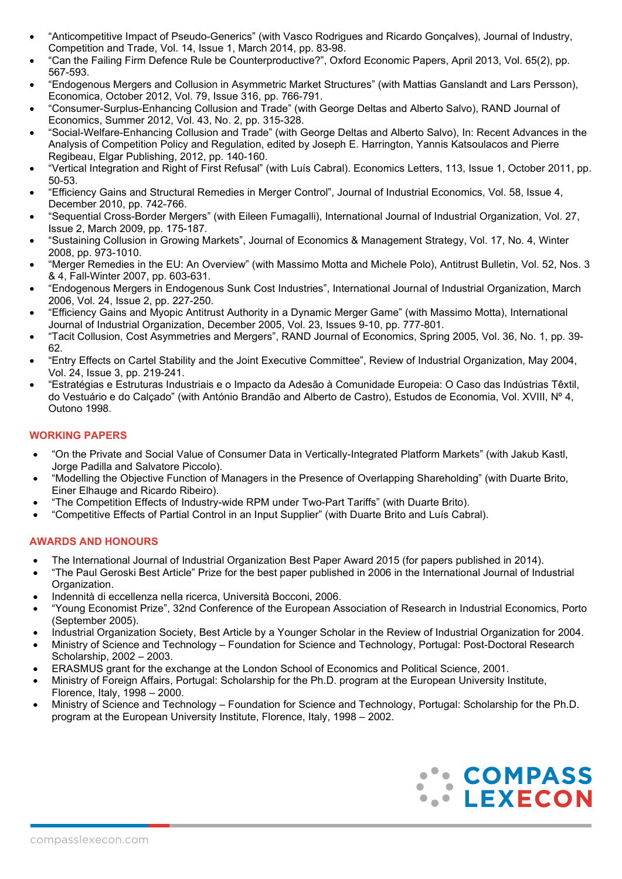- "Anticompetitive Impact of Pseudo-Generics" (with Vasco Rodrigues and Ricardo Gonçalves), Journal of Industry, Competition and Trade, Vol. 14, Issue 1, March 2014, pp. 83-98.
- "Can the Failing Firm Defence Rule be Counterproductive?", Oxford Economic Papers, April 2013, Vol. 65(2), pp. 567-593.
- "Endogenous Mergers and Collusion in Asymmetric Market Structures" (with Mattias Ganslandt and Lars Persson), Economica, October 2012, Vol. 79, Issue 316, pp. 766-791.
- "Consumer-Surplus-Enhancing Collusion and Trade" (with George Deltas and Alberto Salvo), RAND Journal of Economics, Summer 2012, Vol. 43, No. 2, pp. 315-328.
- "Social-Welfare-Enhancing Collusion and Trade" (with George Deltas and Alberto Salvo), In: Recent Advances in the Analysis of Competition Policy and Regulation, edited by Joseph E. Harrington, Yannis Katsoulacos and Pierre Regibeau, Elgar Publishing, 2012, pp. 140-160.
- "Vertical Integration and Right of First Refusal" (with Luís Cabral). Economics Letters, 113, Issue 1, October 2011, pp. 50-53.
- "Efficiency Gains and Structural Remedies in Merger Control", Journal of Industrial Economics, Vol. 58, Issue 4, December 2010, pp. 742-766.
- "Sequential Cross-Border Mergers" (with Eileen Fumagalli), International Journal of Industrial Organization, Vol. 27, Issue 2, March 2009, pp. 175-187.
- "Sustaining Collusion in Growing Markets", Journal of Economics & Management Strategy, Vol. 17, No. 4, Winter 2008, pp. 973-1010.
- "Merger Remedies in the EU: An Overview" (with Massimo Motta and Michele Polo), Antitrust Bulletin, Vol. 52, Nos. 3 & 4, Fall-Winter 2007, pp. 603-631.
- "Endogenous Mergers in Endogenous Sunk Cost Industries", International Journal of Industrial Organization, March 2006, Vol. 24, Issue 2, pp. 227-250.
- "Efficiency Gains and Myopic Antitrust Authority in a Dynamic Merger Game" (with Massimo Motta), International Journal of Industrial Organization, December 2005, Vol. 23, Issues 9-10, pp. 777-801.
- "Tacit Collusion, Cost Asymmetries and Mergers", RAND Journal of Economics, Spring 2005, Vol. 36, No. 1, pp. 39- 62.
- "Entry Effects on Cartel Stability and the Joint Executive Committee", Review of Industrial Organization, May 2004, Vol. 24, Issue 3, pp. 219-241.
- "Estratégias e Estruturas Industriais e o Impacto da Adesão à Comunidade Europeia: O Caso das Indústrias Têxtil, do Vestuário e do Calçado" (with António Brandão and Alberto de Castro), Estudos de Economia, Vol. XVIII, Nº 4, Outono 1998.

# **WORKING PAPERS**

- "On the Private and Social Value of Consumer Data in Vertically-Integrated Platform Markets" (with Jakub Kastl, Jorge Padilla and Salvatore Piccolo).
- "Modelling the Objective Function of Managers in the Presence of Overlapping Shareholding" (with Duarte Brito, Einer Elhauge and Ricardo Ribeiro).
- "The Competition Effects of Industry-wide RPM under Two-Part Tariffs" (with Duarte Brito).
- "Competitive Effects of Partial Control in an Input Supplier" (with Duarte Brito and Luís Cabral).

# **AWARDS AND HONOURS**

- The International Journal of Industrial Organization Best Paper Award 2015 (for papers published in 2014).
- "The Paul Geroski Best Article" Prize for the best paper published in 2006 in the International Journal of Industrial Organization.
- Indennità di eccellenza nella ricerca, Università Bocconi, 2006.
- "Young Economist Prize", 32nd Conference of the European Association of Research in Industrial Economics, Porto (September 2005).
- Industrial Organization Society, Best Article by a Younger Scholar in the Review of Industrial Organization for 2004.
- Ministry of Science and Technology Foundation for Science and Technology, Portugal: Post-Doctoral Research Scholarship, 2002 – 2003.
- ERASMUS grant for the exchange at the London School of Economics and Political Science, 2001.
- Ministry of Foreign Affairs, Portugal: Scholarship for the Ph.D. program at the European University Institute, Florence, Italy, 1998 – 2000.
- Ministry of Science and Technology Foundation for Science and Technology, Portugal: Scholarship for the Ph.D. program at the European University Institute, Florence, Italy, 1998 – 2002.

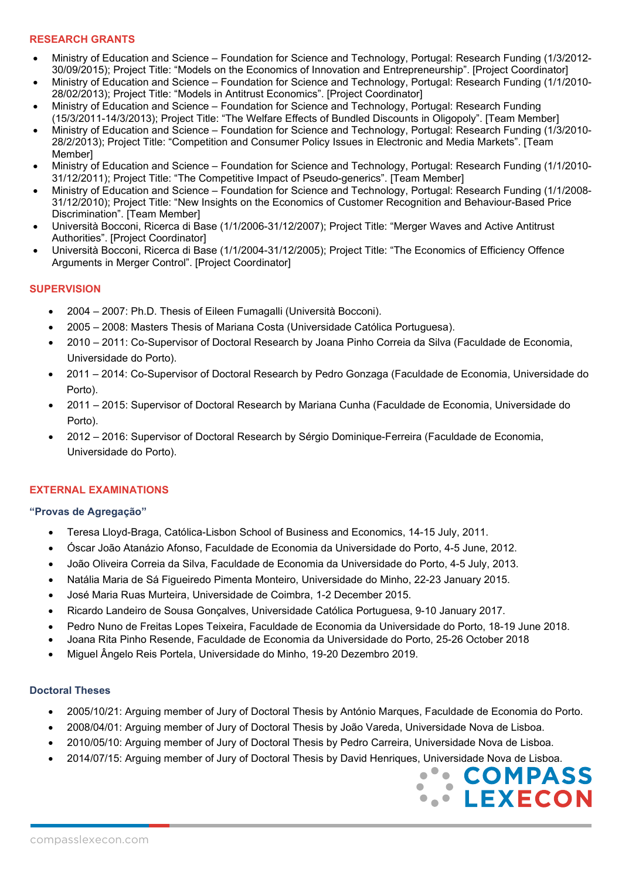### **RESEARCH GRANTS**

- Ministry of Education and Science Foundation for Science and Technology, Portugal: Research Funding (1/3/2012- 30/09/2015); Project Title: "Models on the Economics of Innovation and Entrepreneurship". [Project Coordinator]
- Ministry of Education and Science Foundation for Science and Technology, Portugal: Research Funding (1/1/2010- 28/02/2013); Project Title: "Models in Antitrust Economics". [Project Coordinator]
- Ministry of Education and Science Foundation for Science and Technology, Portugal: Research Funding (15/3/2011-14/3/2013); Project Title: "The Welfare Effects of Bundled Discounts in Oligopoly". [Team Member]
- Ministry of Education and Science Foundation for Science and Technology, Portugal: Research Funding (1/3/2010- 28/2/2013); Project Title: "Competition and Consumer Policy Issues in Electronic and Media Markets". [Team Member]
- Ministry of Education and Science Foundation for Science and Technology, Portugal: Research Funding (1/1/2010- 31/12/2011); Project Title: "The Competitive Impact of Pseudo-generics". [Team Member]
- Ministry of Education and Science Foundation for Science and Technology, Portugal: Research Funding (1/1/2008- 31/12/2010); Project Title: "New Insights on the Economics of Customer Recognition and Behaviour-Based Price Discrimination". [Team Member]
- Università Bocconi, Ricerca di Base (1/1/2006-31/12/2007); Project Title: "Merger Waves and Active Antitrust Authorities". [Project Coordinator]
- Università Bocconi, Ricerca di Base (1/1/2004-31/12/2005); Project Title: "The Economics of Efficiency Offence Arguments in Merger Control". [Project Coordinator]

# **SUPERVISION**

- 2004 2007: Ph.D. Thesis of Eileen Fumagalli (Università Bocconi).
- 2005 2008: Masters Thesis of Mariana Costa (Universidade Católica Portuguesa).
- 2010 2011: Co-Supervisor of Doctoral Research by Joana Pinho Correia da Silva (Faculdade de Economia, Universidade do Porto).
- 2011 2014: Co-Supervisor of Doctoral Research by Pedro Gonzaga (Faculdade de Economia, Universidade do Porto).
- 2011 2015: Supervisor of Doctoral Research by Mariana Cunha (Faculdade de Economia, Universidade do Porto).
- 2012 2016: Supervisor of Doctoral Research by Sérgio Dominique-Ferreira (Faculdade de Economia, Universidade do Porto).

# **EXTERNAL EXAMINATIONS**

### **"Provas de Agregação"**

- Teresa Lloyd-Braga, Católica-Lisbon School of Business and Economics, 14-15 July, 2011.
- Óscar João Atanázio Afonso, Faculdade de Economia da Universidade do Porto, 4-5 June, 2012.
- João Oliveira Correia da Silva, Faculdade de Economia da Universidade do Porto, 4-5 July, 2013.
- Natália Maria de Sá Figueiredo Pimenta Monteiro, Universidade do Minho, 22-23 January 2015.
- José Maria Ruas Murteira, Universidade de Coimbra, 1-2 December 2015.
- Ricardo Landeiro de Sousa Gonçalves, Universidade Católica Portuguesa, 9-10 January 2017.
- Pedro Nuno de Freitas Lopes Teixeira, Faculdade de Economia da Universidade do Porto, 18-19 June 2018.
- Joana Rita Pinho Resende, Faculdade de Economia da Universidade do Porto, 25-26 October 2018
- Miguel Ângelo Reis Portela, Universidade do Minho, 19-20 Dezembro 2019.

### **Doctoral Theses**

- 2005/10/21: Arguing member of Jury of Doctoral Thesis by António Marques, Faculdade de Economia do Porto.
- 2008/04/01: Arguing member of Jury of Doctoral Thesis by João Vareda, Universidade Nova de Lisboa.
- 2010/05/10: Arguing member of Jury of Doctoral Thesis by Pedro Carreira, Universidade Nova de Lisboa.
- 2014/07/15: Arguing member of Jury of Doctoral Thesis by David Henriques, Universidade Nova de Lisboa.

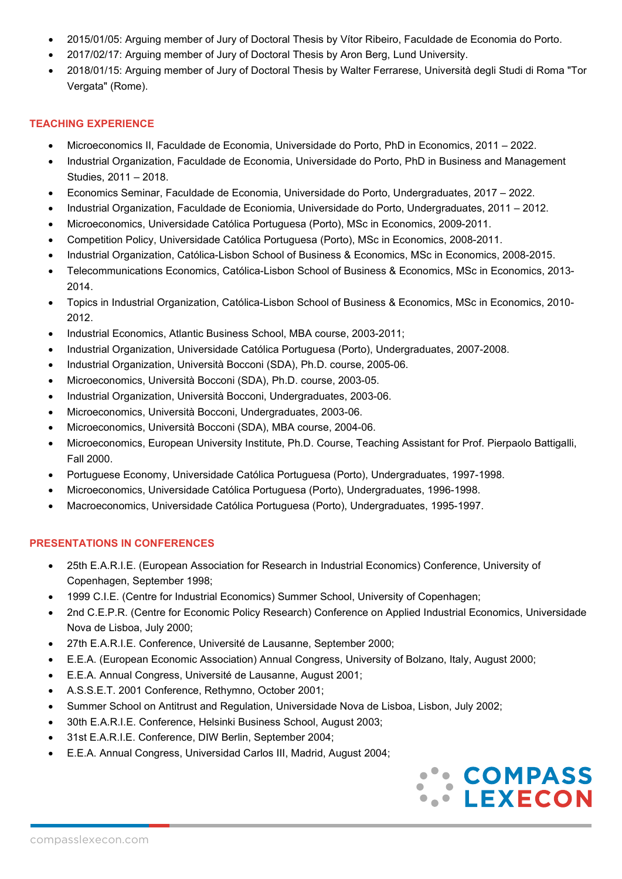- 2015/01/05: Arguing member of Jury of Doctoral Thesis by Vítor Ribeiro, Faculdade de Economia do Porto.
- 2017/02/17: Arguing member of Jury of Doctoral Thesis by Aron Berg, Lund University.
- 2018/01/15: Arguing member of Jury of Doctoral Thesis by Walter Ferrarese, Università degli Studi di Roma "Tor Vergata" (Rome).

### **TEACHING EXPERIENCE**

- Microeconomics II, Faculdade de Economia, Universidade do Porto, PhD in Economics, 2011 2022.
- Industrial Organization, Faculdade de Economia, Universidade do Porto, PhD in Business and Management Studies, 2011 – 2018.
- Economics Seminar, Faculdade de Economia, Universidade do Porto, Undergraduates, 2017 2022.
- Industrial Organization, Faculdade de Econiomia, Universidade do Porto, Undergraduates, 2011 2012.
- Microeconomics, Universidade Católica Portuguesa (Porto), MSc in Economics, 2009-2011.
- Competition Policy, Universidade Católica Portuguesa (Porto), MSc in Economics, 2008-2011.
- Industrial Organization, Católica-Lisbon School of Business & Economics, MSc in Economics, 2008-2015.
- Telecommunications Economics, Católica-Lisbon School of Business & Economics, MSc in Economics, 2013- 2014.
- Topics in Industrial Organization, Católica-Lisbon School of Business & Economics, MSc in Economics, 2010- 2012.
- Industrial Economics, Atlantic Business School, MBA course, 2003-2011;
- Industrial Organization, Universidade Católica Portuguesa (Porto), Undergraduates, 2007-2008.
- Industrial Organization, Università Bocconi (SDA), Ph.D. course, 2005-06.
- Microeconomics, Università Bocconi (SDA), Ph.D. course, 2003-05.
- Industrial Organization, Università Bocconi, Undergraduates, 2003-06.
- Microeconomics, Università Bocconi, Undergraduates, 2003-06.
- Microeconomics, Università Bocconi (SDA), MBA course, 2004-06.
- Microeconomics, European University Institute, Ph.D. Course, Teaching Assistant for Prof. Pierpaolo Battigalli, Fall 2000.
- Portuguese Economy, Universidade Católica Portuguesa (Porto), Undergraduates, 1997-1998.
- Microeconomics, Universidade Católica Portuguesa (Porto), Undergraduates, 1996-1998.
- Macroeconomics, Universidade Católica Portuguesa (Porto), Undergraduates, 1995-1997.

# **PRESENTATIONS IN CONFERENCES**

- 25th E.A.R.I.E. (European Association for Research in Industrial Economics) Conference, University of Copenhagen, September 1998;
- 1999 C.I.E. (Centre for Industrial Economics) Summer School, University of Copenhagen;
- 2nd C.E.P.R. (Centre for Economic Policy Research) Conference on Applied Industrial Economics, Universidade Nova de Lisboa, July 2000;
- 27th E.A.R.I.E. Conference, Université de Lausanne, September 2000;
- E.E.A. (European Economic Association) Annual Congress, University of Bolzano, Italy, August 2000;
- E.E.A. Annual Congress, Université de Lausanne, August 2001;
- A.S.S.E.T. 2001 Conference, Rethymno, October 2001;
- Summer School on Antitrust and Regulation, Universidade Nova de Lisboa, Lisbon, July 2002;
- 30th E.A.R.I.E. Conference, Helsinki Business School, August 2003;
- 31st E.A.R.I.E. Conference, DIW Berlin, September 2004;
- E.E.A. Annual Congress, Universidad Carlos III, Madrid, August 2004;

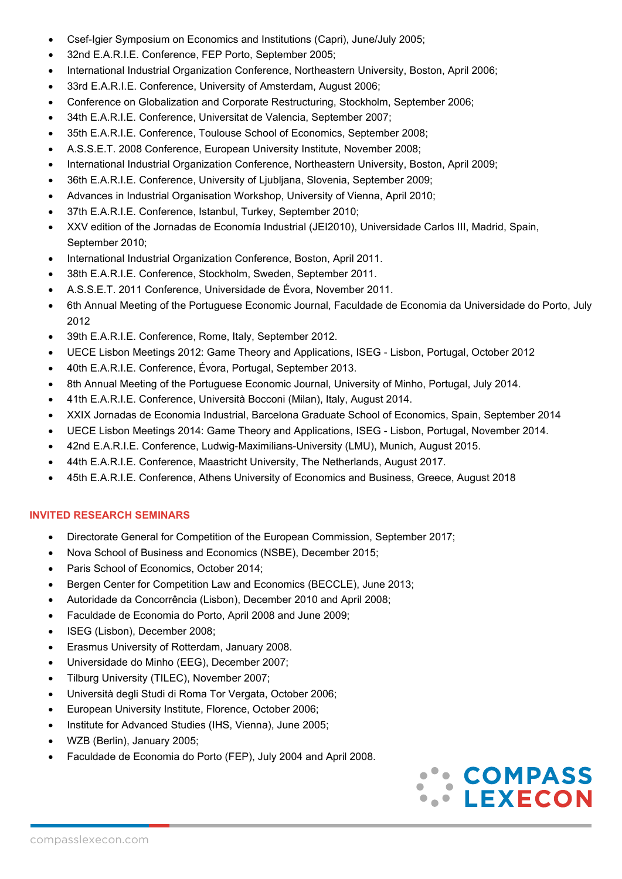- Csef-Igier Symposium on Economics and Institutions (Capri), June/July 2005;
- 32nd E.A.R.I.E. Conference, FEP Porto, September 2005;
- International Industrial Organization Conference, Northeastern University, Boston, April 2006;
- 33rd E.A.R.I.E. Conference, University of Amsterdam, August 2006;
- Conference on Globalization and Corporate Restructuring, Stockholm, September 2006;
- 34th E.A.R.I.E. Conference, Universitat de Valencia, September 2007;
- 35th E.A.R.I.E. Conference, Toulouse School of Economics, September 2008;
- A.S.S.E.T. 2008 Conference, European University Institute, November 2008;
- International Industrial Organization Conference, Northeastern University, Boston, April 2009;
- 36th E.A.R.I.E. Conference, University of Ljubljana, Slovenia, September 2009;
- Advances in Industrial Organisation Workshop, University of Vienna, April 2010;
- 37th E.A.R.I.E. Conference, Istanbul, Turkey, September 2010;
- XXV edition of the Jornadas de Economía Industrial (JEI2010), Universidade Carlos III, Madrid, Spain, September 2010;
- International Industrial Organization Conference, Boston, April 2011.
- 38th E.A.R.I.E. Conference, Stockholm, Sweden, September 2011.
- A.S.S.E.T. 2011 Conference, Universidade de Évora, November 2011.
- 6th Annual Meeting of the Portuguese Economic Journal, Faculdade de Economia da Universidade do Porto, July 2012
- 39th E.A.R.I.E. Conference, Rome, Italy, September 2012.
- UECE Lisbon Meetings 2012: Game Theory and Applications, ISEG Lisbon, Portugal, October 2012
- 40th E.A.R.I.E. Conference, Évora, Portugal, September 2013.
- 8th Annual Meeting of the Portuguese Economic Journal, University of Minho, Portugal, July 2014.
- 41th E.A.R.I.E. Conference, Università Bocconi (Milan), Italy, August 2014.
- XXIX Jornadas de Economia Industrial, Barcelona Graduate School of Economics, Spain, September 2014
- UECE Lisbon Meetings 2014: Game Theory and Applications, ISEG Lisbon, Portugal, November 2014.
- 42nd E.A.R.I.E. Conference, Ludwig-Maximilians-University (LMU), Munich, August 2015.
- 44th E.A.R.I.E. Conference, Maastricht University, The Netherlands, August 2017.
- 45th E.A.R.I.E. Conference, Athens University of Economics and Business, Greece, August 2018

### **INVITED RESEARCH SEMINARS**

- Directorate General for Competition of the European Commission, September 2017;
- Nova School of Business and Economics (NSBE), December 2015;
- Paris School of Economics, October 2014;
- Bergen Center for Competition Law and Economics (BECCLE), June 2013;
- Autoridade da Concorrência (Lisbon), December 2010 and April 2008;
- Faculdade de Economia do Porto, April 2008 and June 2009;
- ISEG (Lisbon), December 2008;
- Erasmus University of Rotterdam, January 2008.
- Universidade do Minho (EEG), December 2007;
- Tilburg University (TILEC), November 2007;
- Università degli Studi di Roma Tor Vergata, October 2006;
- European University Institute, Florence, October 2006;
- Institute for Advanced Studies (IHS, Vienna), June 2005;
- WZB (Berlin), January 2005;
- Faculdade de Economia do Porto (FEP), July 2004 and April 2008.